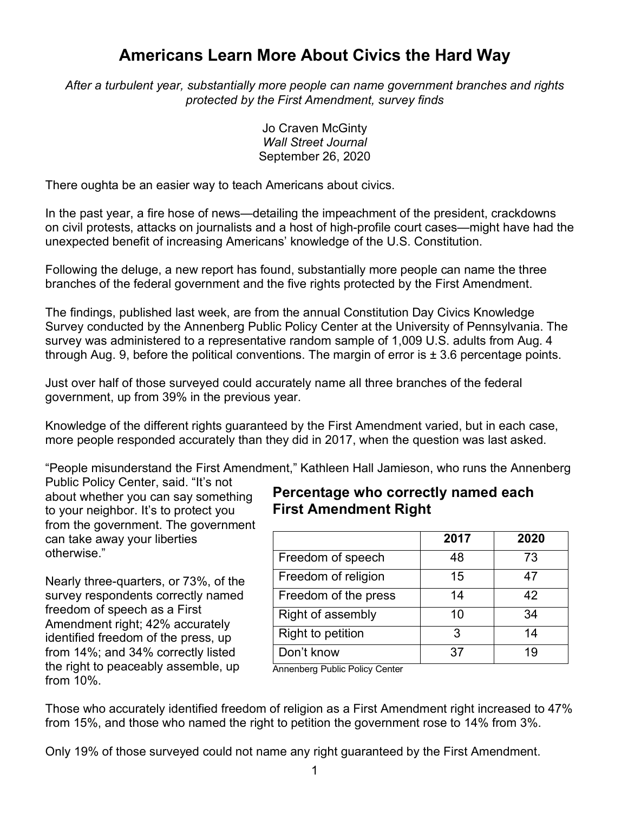## **Americans Learn More About Civics the Hard Way**

*After a turbulent year, substantially more people can name government branches and rights protected by the First Amendment, survey finds*

> Jo Craven McGinty *Wall Street Journal* September 26, 2020

There oughta be an easier way to teach Americans about civics.

In the past year, a fire hose of news—detailing the impeachment of the president, crackdowns on civil protests, attacks on journalists and a host of high-profile court cases—might have had the unexpected benefit of increasing Americans' knowledge of the U.S. Constitution.

Following the deluge, a new report has found, substantially more people can name the three branches of the federal government and the five rights protected by the First Amendment.

The findings, published last week, are from the annual Constitution Day Civics Knowledge Survey conducted by the Annenberg Public Policy Center at the University of Pennsylvania. The survey was administered to a representative random sample of 1,009 U.S. adults from Aug. 4 through Aug. 9, before the political conventions. The margin of error is  $\pm$  3.6 percentage points.

Just over half of those surveyed could accurately name all three branches of the federal government, up from 39% in the previous year.

Knowledge of the different rights guaranteed by the First Amendment varied, but in each case, more people responded accurately than they did in 2017, when the question was last asked.

"People misunderstand the First Amendment," Kathleen Hall Jamieson, who runs the Annenberg

Public Policy Center, said. "It's not about whether you can say something to your neighbor. It's to protect you from the government. The government can take away your liberties otherwise."

Nearly three-quarters, or 73%, of the survey respondents correctly named freedom of speech as a First Amendment right; 42% accurately identified freedom of the press, up from 14%; and 34% correctly listed the right to peaceably assemble, up from 10%.

## **Percentage who correctly named each First Amendment Right**

|                      | 2017 | 2020 |
|----------------------|------|------|
| Freedom of speech    | 48   | 73   |
| Freedom of religion  | 15   | 47   |
| Freedom of the press | 14   | 42   |
| Right of assembly    | 10   | 34   |
| Right to petition    | 3    | 14   |
| Don't know           | 37   | 19   |

Annenberg Public Policy Center

Those who accurately identified freedom of religion as a First Amendment right increased to 47% from 15%, and those who named the right to petition the government rose to 14% from 3%.

Only 19% of those surveyed could not name any right guaranteed by the First Amendment.